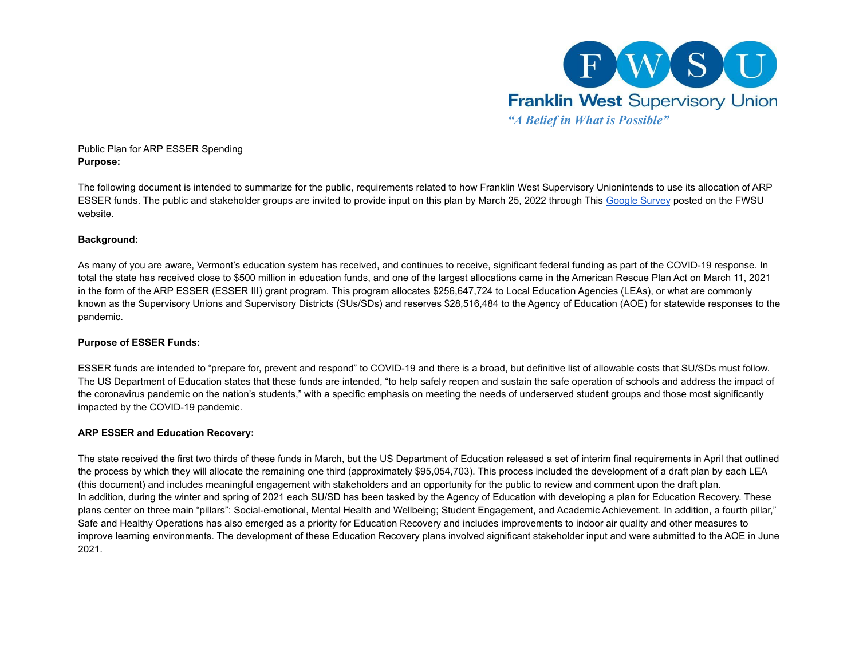

### Public Plan for ARP ESSER Spending **Purpose:**

The following document is intended to summarize for the public, requirements related to how Franklin West Supervisory Unionintends to use its allocation of ARP ESSER funds. The public and stakeholder groups are invited to provide input on this plan by March 25, 2022 through This [Google Survey](https://docs.google.com/forms/d/e/1FAIpQLSfqGtd69avUmMxlyEsEWTMnD_KYAMT-U5j_Nuy_SofDDwcXLw/viewform?usp=sf_link) posted on the FWSU website.

## **Background:**

As many of you are aware, Vermont's education system has received, and continues to receive, significant federal funding as part of the COVID-19 response. In total the state has received close to \$500 million in education funds, and one of the largest allocations came in the American Rescue Plan Act on March 11, 2021 in the form of the ARP ESSER (ESSER III) grant program. This program allocates \$256,647,724 to Local Education Agencies (LEAs), or what are commonly known as the Supervisory Unions and Supervisory Districts (SUs/SDs) and reserves \$28,516,484 to the Agency of Education (AOE) for statewide responses to the pandemic.

## **Purpose of ESSER Funds:**

ESSER funds are intended to "prepare for, prevent and respond" to COVID-19 and there is a broad, but definitive list of allowable costs that SU/SDs must follow. The US Department of Education states that these funds are intended, "to help safely reopen and sustain the safe operation of schools and address the impact of the coronavirus pandemic on the nation's students," with a specific emphasis on meeting the needs of underserved student groups and those most significantly impacted by the COVID-19 pandemic.

## **ARP ESSER and Education Recovery:**

The state received the first two thirds of these funds in March, but the US Department of Education released a set of interim final requirements in April that outlined the process by which they will allocate the remaining one third (approximately \$95,054,703). This process included the development of a draft plan by each LEA (this document) and includes meaningful engagement with stakeholders and an opportunity for the public to review and comment upon the draft plan. In addition, during the winter and spring of 2021 each SU/SD has been tasked by the Agency of Education with developing a plan for Education Recovery. These plans center on three main "pillars": Social-emotional, Mental Health and Wellbeing; Student Engagement, and Academic Achievement. In addition, a fourth pillar," Safe and Healthy Operations has also emerged as a priority for Education Recovery and includes improvements to indoor air quality and other measures to improve learning environments. The development of these Education Recovery plans involved significant stakeholder input and were submitted to the AOE in June 2021.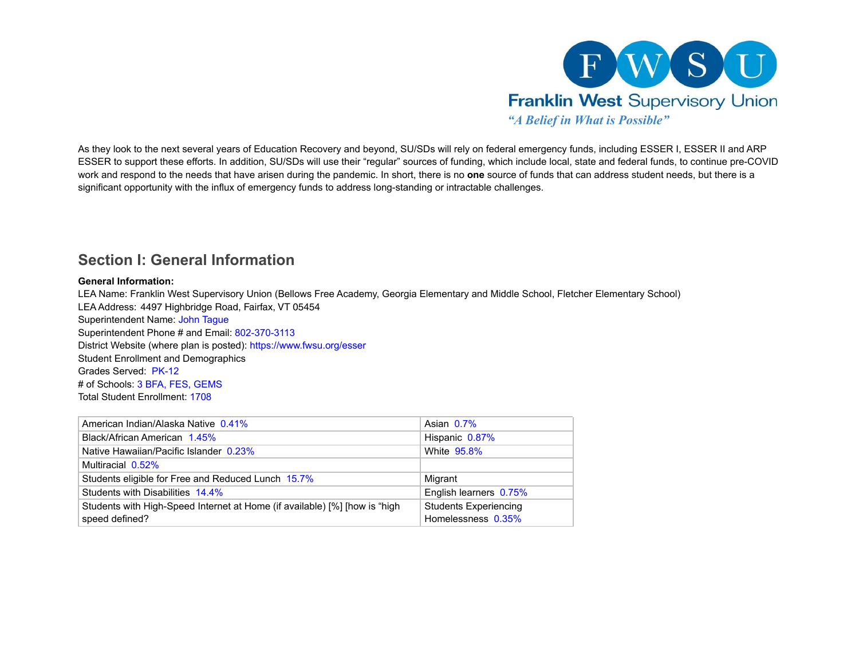

As they look to the next several years of Education Recovery and beyond, SU/SDs will rely on federal emergency funds, including ESSER I, ESSER II and ARP ESSER to support these efforts. In addition, SU/SDs will use their "regular" sources of funding, which include local, state and federal funds, to continue pre-COVID work and respond to the needs that have arisen during the pandemic. In short, there is no **one** source of funds that can address student needs, but there is a significant opportunity with the influx of emergency funds to address long-standing or intractable challenges.

## **Section I: General Information**

#### **General Information:**

LEA Name: Franklin West Supervisory Union (Bellows Free Academy, Georgia Elementary and Middle School, Fletcher Elementary School) LEA Address: 4497 Highbridge Road, Fairfax, VT 05454 Superintendent Name: John Tague Superintendent Phone # and Email: 802-370-3113 District Website (where plan is posted): https://www.fwsu.org/esser Student Enrollment and Demographics Grades Served: PK-12 # of Schools: 3 BFA, FES, GEMS Total Student Enrollment: 1708

| American Indian/Alaska Native 0.41%                                        | Asian 0.7%                   |
|----------------------------------------------------------------------------|------------------------------|
| Black/African American 1.45%                                               | Hispanic 0.87%               |
| Native Hawaiian/Pacific Islander 0.23%                                     | White 95.8%                  |
| Multiracial 0.52%                                                          |                              |
| Students eligible for Free and Reduced Lunch 15.7%                         | Migrant                      |
| Students with Disabilities 14.4%                                           | English learners 0.75%       |
| Students with High-Speed Internet at Home (if available) [%] [how is "high | <b>Students Experiencing</b> |
| speed defined?                                                             | Homelessness 0.35%           |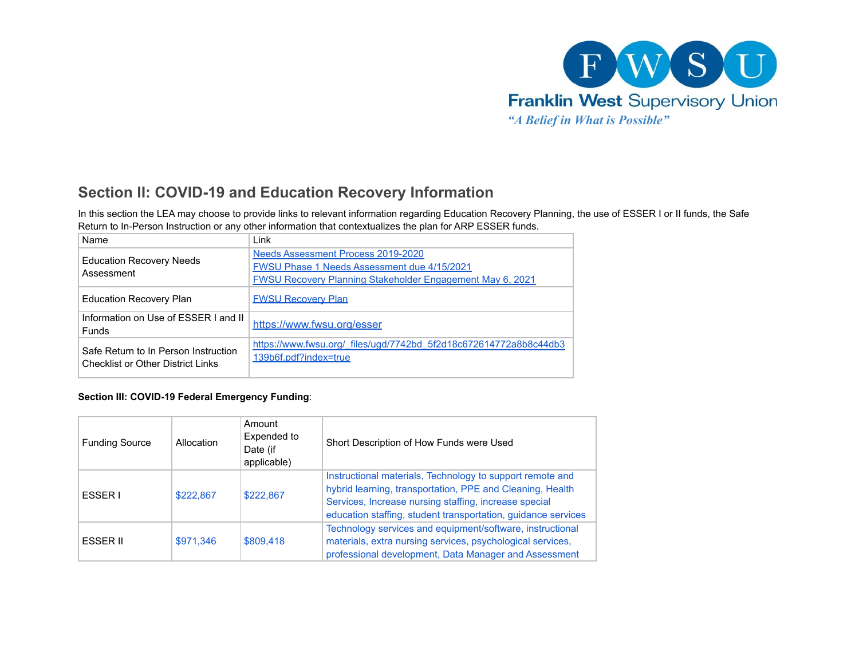

# **Section II: COVID-19 and Education Recovery Information**

In this section the LEA may choose to provide links to relevant information regarding Education Recovery Planning, the use of ESSER I or II funds, the Safe Return to In-Person Instruction or any other information that contextualizes the plan for ARP ESSER funds.

| Name                                                                             | Link                                                                                                                                                  |
|----------------------------------------------------------------------------------|-------------------------------------------------------------------------------------------------------------------------------------------------------|
| <b>Education Recovery Needs</b><br>Assessment                                    | Needs Assessment Process 2019-2020<br>FWSU Phase 1 Needs Assessment due 4/15/2021<br><b>FWSU Recovery Planning Stakeholder Engagement May 6, 2021</b> |
| <b>Education Recovery Plan</b>                                                   | <b>FWSU Recovery Plan</b>                                                                                                                             |
| Information on Use of ESSER I and II<br><b>Funds</b>                             | https://www.fwsu.org/esser                                                                                                                            |
| Safe Return to In Person Instruction<br><b>Checklist or Other District Links</b> | https://www.fwsu.org/ files/ugd/7742bd 5f2d18c672614772a8b8c44db3<br>139b6f.pdf?index=true                                                            |

## **Section III: COVID-19 Federal Emergency Funding**:

| <b>Funding Source</b> | Allocation | Amount<br>Expended to<br>Date (if<br>applicable) | Short Description of How Funds were Used                                                                                                                                                                                                         |
|-----------------------|------------|--------------------------------------------------|--------------------------------------------------------------------------------------------------------------------------------------------------------------------------------------------------------------------------------------------------|
| ESSER I               | \$222,867  | \$222,867                                        | Instructional materials, Technology to support remote and<br>hybrid learning, transportation, PPE and Cleaning, Health<br>Services, Increase nursing staffing, increase special<br>education staffing, student transportation, guidance services |
| ESSER II              | \$971,346  | \$809,418                                        | Technology services and equipment/software, instructional<br>materials, extra nursing services, psychological services,<br>professional development, Data Manager and Assessment                                                                 |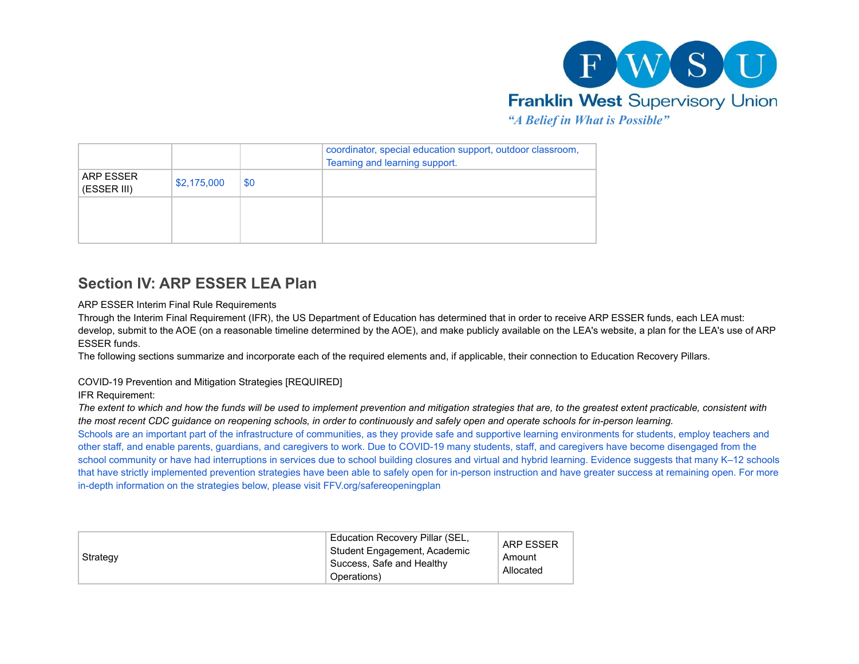

|                          |             |     | coordinator, special education support, outdoor classroom,<br>Teaming and learning support. |
|--------------------------|-------------|-----|---------------------------------------------------------------------------------------------|
| ARP ESSER<br>(ESSER III) | \$2,175,000 | \$0 |                                                                                             |
|                          |             |     |                                                                                             |

# **Section IV: ARP ESSER LEA Plan**

ARP ESSER Interim Final Rule Requirements

Through the Interim Final Requirement (IFR), the US Department of Education has determined that in order to receive ARP ESSER funds, each LEA must: develop, submit to the AOE (on a reasonable timeline determined by the AOE), and make publicly available on the LEA's website, a plan for the LEA's use of ARP ESSER funds.

The following sections summarize and incorporate each of the required elements and, if applicable, their connection to Education Recovery Pillars.

COVID-19 Prevention and Mitigation Strategies [REQUIRED]

IFR Requirement:

*The extent to which and how the funds will be used to implement prevention and mitigation strategies that are, to the greatest extent practicable, consistent with the most recent CDC guidance on reopening schools, in order to continuously and safely open and operate schools for in-person learning.*

Schools are an important part of the infrastructure of communities, as they provide safe and supportive learning environments for students, employ teachers and other staff, and enable parents, guardians, and caregivers to work. Due to COVID-19 many students, staff, and caregivers have become disengaged from the school community or have had interruptions in services due to school building closures and virtual and hybrid learning. Evidence suggests that many K–12 schools that have strictly implemented prevention strategies have been able to safely open for in-person instruction and have greater success at remaining open. For more in-depth information on the strategies below, please visit FFV.org/safereopeningplan

| Strategy | Education Recovery Pillar (SEL,<br>Student Engagement, Academic<br>Success, Safe and Healthy<br>Operations) | <b>ARP ESSER</b><br>Amount<br>Allocated |
|----------|-------------------------------------------------------------------------------------------------------------|-----------------------------------------|
|----------|-------------------------------------------------------------------------------------------------------------|-----------------------------------------|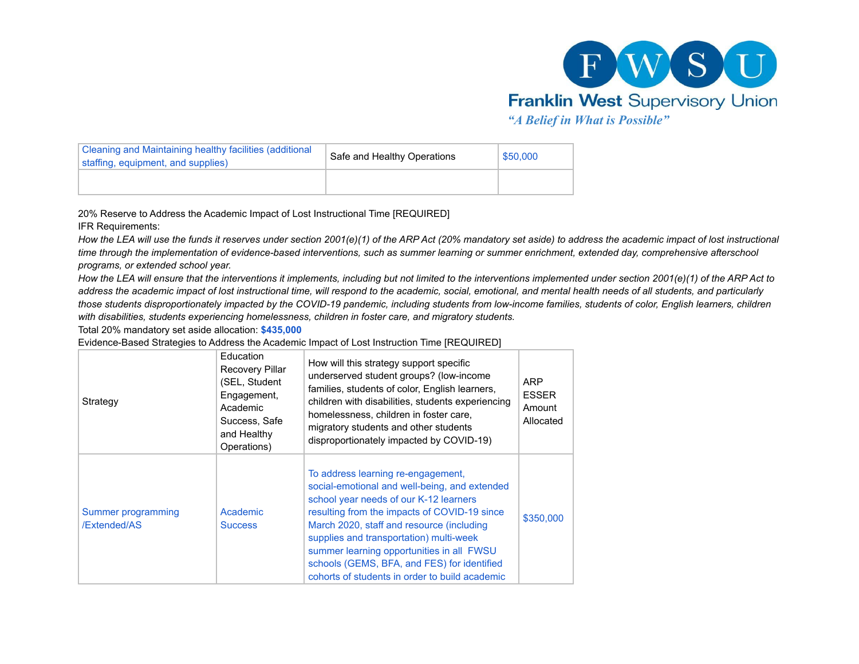

| Cleaning and Maintaining healthy facilities (additional<br>staffing, equipment, and supplies) | Safe and Healthy Operations | \$50,000 |
|-----------------------------------------------------------------------------------------------|-----------------------------|----------|
|                                                                                               |                             |          |

20% Reserve to Address the Academic Impact of Lost Instructional Time [REQUIRED]

IFR Requirements:

*How the LEA will use the funds it reserves under section 2001(e)(1) of the ARP Act (20% mandatory set aside) to address the academic impact of lost instructional time through the implementation of evidence-based interventions, such as summer learning or summer enrichment, extended day, comprehensive afterschool programs, or extended school year.*

*How the LEA will ensure that the interventions it implements, including but not limited to the interventions implemented under section 2001(e)(1) of the ARP Act to address the academic impact of lost instructional time, will respond to the academic, social, emotional, and mental health needs of all students, and particularly those students disproportionately impacted by the COVID-19 pandemic, including students from low-income families, students of color, English learners, children with disabilities, students experiencing homelessness, children in foster care, and migratory students.*

Total 20% mandatory set aside allocation: **\$435,000**

Evidence-Based Strategies to Address the Academic Impact of Lost Instruction Time [REQUIRED]

| Strategy                           | Education<br><b>Recovery Pillar</b><br>(SEL, Student<br>Engagement,<br>Academic<br>Success, Safe<br>and Healthy<br>Operations) | How will this strategy support specific<br>underserved student groups? (low-income<br>families, students of color, English learners,<br>children with disabilities, students experiencing<br>homelessness, children in foster care,<br>migratory students and other students<br>disproportionately impacted by COVID-19)                                                                                            | <b>ARP</b><br><b>ESSER</b><br>Amount<br>Allocated |
|------------------------------------|--------------------------------------------------------------------------------------------------------------------------------|---------------------------------------------------------------------------------------------------------------------------------------------------------------------------------------------------------------------------------------------------------------------------------------------------------------------------------------------------------------------------------------------------------------------|---------------------------------------------------|
| Summer programming<br>/Extended/AS | Academic<br><b>Success</b>                                                                                                     | To address learning re-engagement,<br>social-emotional and well-being, and extended<br>school year needs of our K-12 learners<br>resulting from the impacts of COVID-19 since<br>March 2020, staff and resource (including<br>supplies and transportation) multi-week<br>summer learning opportunities in all FWSU<br>schools (GEMS, BFA, and FES) for identified<br>cohorts of students in order to build academic | \$350,000                                         |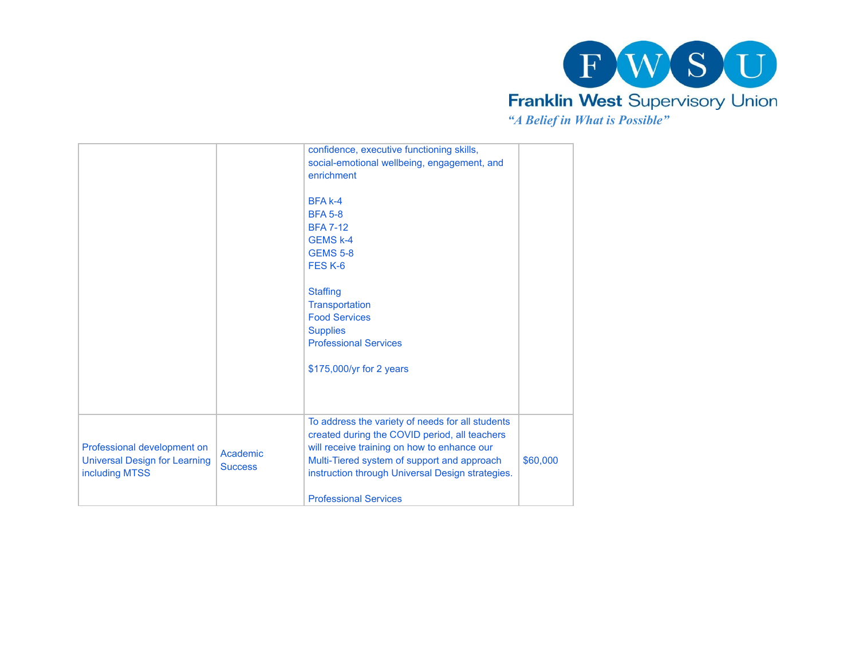

|                                                                                       |                            | confidence, executive functioning skills,<br>social-emotional wellbeing, engagement, and<br>enrichment<br>BFA k-4<br><b>BFA 5-8</b><br><b>BFA 7-12</b><br><b>GEMS k-4</b><br><b>GEMS 5-8</b><br>FES <sub>K-6</sub><br><b>Staffing</b><br>Transportation<br><b>Food Services</b><br><b>Supplies</b><br><b>Professional Services</b><br>\$175,000/yr for 2 years |          |
|---------------------------------------------------------------------------------------|----------------------------|----------------------------------------------------------------------------------------------------------------------------------------------------------------------------------------------------------------------------------------------------------------------------------------------------------------------------------------------------------------|----------|
| Professional development on<br><b>Universal Design for Learning</b><br>including MTSS | Academic<br><b>Success</b> | To address the variety of needs for all students<br>created during the COVID period, all teachers<br>will receive training on how to enhance our<br>Multi-Tiered system of support and approach<br>instruction through Universal Design strategies.<br><b>Professional Services</b>                                                                            | \$60,000 |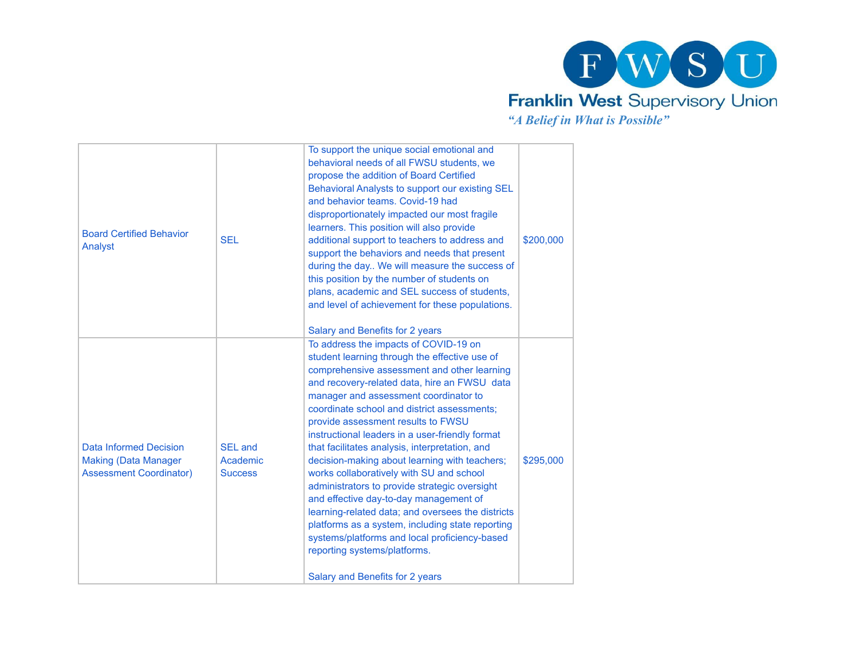

| <b>Board Certified Behavior</b><br>Analyst                                              | <b>SEL</b>                                   | To support the unique social emotional and<br>behavioral needs of all FWSU students, we<br>propose the addition of Board Certified<br>Behavioral Analysts to support our existing SEL<br>and behavior teams. Covid-19 had<br>disproportionately impacted our most fragile<br>learners. This position will also provide<br>additional support to teachers to address and<br>support the behaviors and needs that present<br>during the day We will measure the success of<br>this position by the number of students on<br>plans, academic and SEL success of students,<br>and level of achievement for these populations.<br>Salary and Benefits for 2 years                                                                                                                                                                                  | \$200,000 |
|-----------------------------------------------------------------------------------------|----------------------------------------------|-----------------------------------------------------------------------------------------------------------------------------------------------------------------------------------------------------------------------------------------------------------------------------------------------------------------------------------------------------------------------------------------------------------------------------------------------------------------------------------------------------------------------------------------------------------------------------------------------------------------------------------------------------------------------------------------------------------------------------------------------------------------------------------------------------------------------------------------------|-----------|
| Data Informed Decision<br><b>Making (Data Manager</b><br><b>Assessment Coordinator)</b> | <b>SEL and</b><br>Academic<br><b>Success</b> | To address the impacts of COVID-19 on<br>student learning through the effective use of<br>comprehensive assessment and other learning<br>and recovery-related data, hire an FWSU data<br>manager and assessment coordinator to<br>coordinate school and district assessments;<br>provide assessment results to FWSU<br>instructional leaders in a user-friendly format<br>that facilitates analysis, interpretation, and<br>decision-making about learning with teachers;<br>works collaboratively with SU and school<br>administrators to provide strategic oversight<br>and effective day-to-day management of<br>learning-related data; and oversees the districts<br>platforms as a system, including state reporting<br>systems/platforms and local proficiency-based<br>reporting systems/platforms.<br>Salary and Benefits for 2 years | \$295,000 |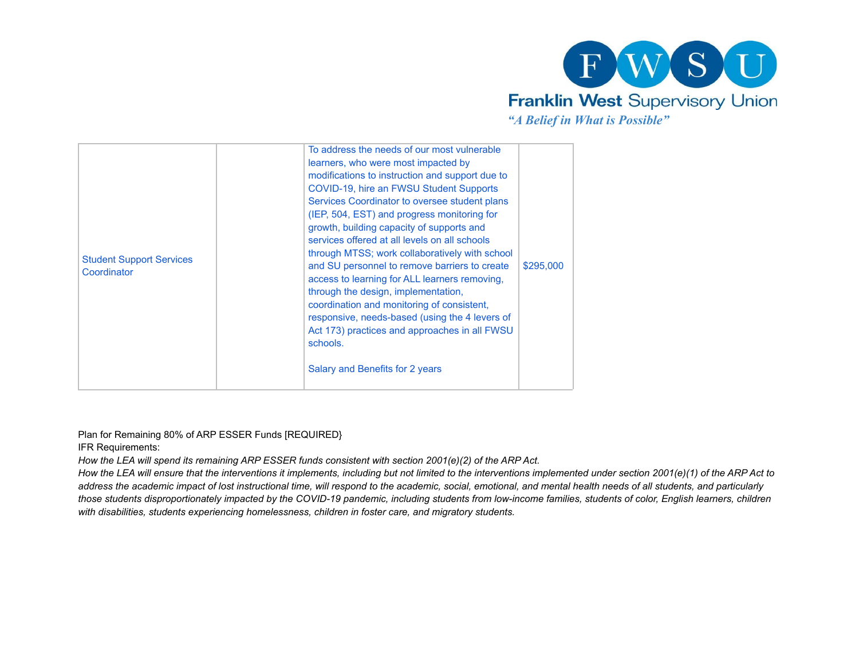

| <b>Student Support Services</b><br>Coordinator | To address the needs of our most vulnerable<br>learners, who were most impacted by<br>modifications to instruction and support due to<br>COVID-19, hire an FWSU Student Supports<br>Services Coordinator to oversee student plans<br>(IEP, 504, EST) and progress monitoring for<br>growth, building capacity of supports and<br>services offered at all levels on all schools<br>through MTSS; work collaboratively with school<br>and SU personnel to remove barriers to create<br>access to learning for ALL learners removing,<br>through the design, implementation,<br>coordination and monitoring of consistent,<br>responsive, needs-based (using the 4 levers of<br>Act 173) practices and approaches in all FWSU<br>schools.<br>Salary and Benefits for 2 years | \$295,000 |
|------------------------------------------------|---------------------------------------------------------------------------------------------------------------------------------------------------------------------------------------------------------------------------------------------------------------------------------------------------------------------------------------------------------------------------------------------------------------------------------------------------------------------------------------------------------------------------------------------------------------------------------------------------------------------------------------------------------------------------------------------------------------------------------------------------------------------------|-----------|
|------------------------------------------------|---------------------------------------------------------------------------------------------------------------------------------------------------------------------------------------------------------------------------------------------------------------------------------------------------------------------------------------------------------------------------------------------------------------------------------------------------------------------------------------------------------------------------------------------------------------------------------------------------------------------------------------------------------------------------------------------------------------------------------------------------------------------------|-----------|

Plan for Remaining 80% of ARP ESSER Funds [REQUIRED}

IFR Requirements:

*How the LEA will spend its remaining ARP ESSER funds consistent with section 2001(e)(2) of the ARP Act.*

*How the LEA will ensure that the interventions it implements, including but not limited to the interventions implemented under section 2001(e)(1) of the ARP Act to address the academic impact of lost instructional time, will respond to the academic, social, emotional, and mental health needs of all students, and particularly those students disproportionately impacted by the COVID-19 pandemic, including students from low-income families, students of color, English learners, children with disabilities, students experiencing homelessness, children in foster care, and migratory students.*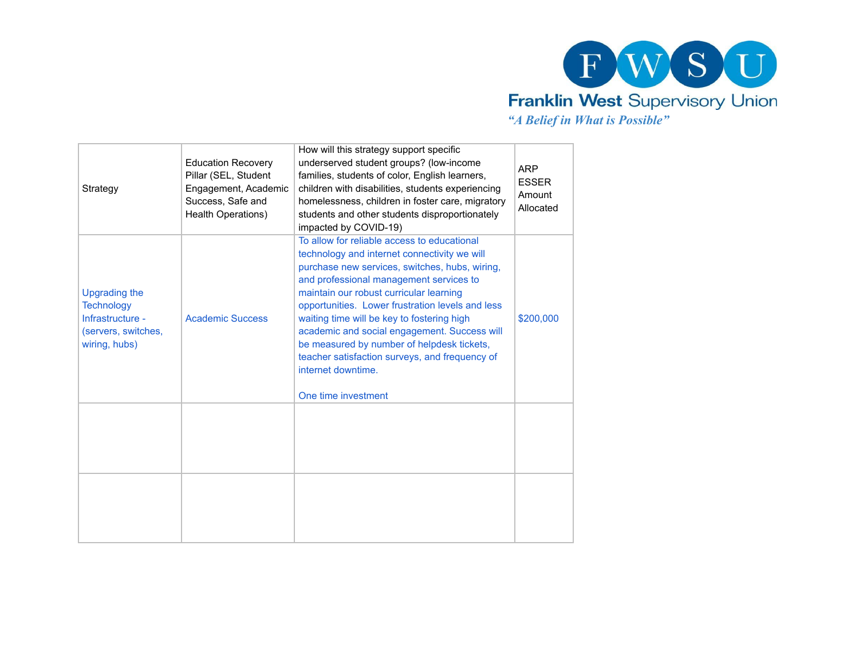

| Strategy                                                                                       | <b>Education Recovery</b><br>Pillar (SEL, Student<br>Engagement, Academic<br>Success, Safe and<br>Health Operations) | How will this strategy support specific<br>underserved student groups? (low-income<br>families, students of color, English learners,<br>children with disabilities, students experiencing<br>homelessness, children in foster care, migratory<br>students and other students disproportionately<br>impacted by COVID-19)                                                                                                                                                                                                           | <b>ARP</b><br><b>ESSER</b><br>Amount<br>Allocated |
|------------------------------------------------------------------------------------------------|----------------------------------------------------------------------------------------------------------------------|------------------------------------------------------------------------------------------------------------------------------------------------------------------------------------------------------------------------------------------------------------------------------------------------------------------------------------------------------------------------------------------------------------------------------------------------------------------------------------------------------------------------------------|---------------------------------------------------|
| Upgrading the<br><b>Technology</b><br>Infrastructure -<br>(servers, switches,<br>wiring, hubs) | <b>Academic Success</b>                                                                                              | To allow for reliable access to educational<br>technology and internet connectivity we will<br>purchase new services, switches, hubs, wiring,<br>and professional management services to<br>maintain our robust curricular learning<br>opportunities. Lower frustration levels and less<br>waiting time will be key to fostering high<br>academic and social engagement. Success will<br>be measured by number of helpdesk tickets,<br>teacher satisfaction surveys, and frequency of<br>internet downtime.<br>One time investment | \$200,000                                         |
|                                                                                                |                                                                                                                      |                                                                                                                                                                                                                                                                                                                                                                                                                                                                                                                                    |                                                   |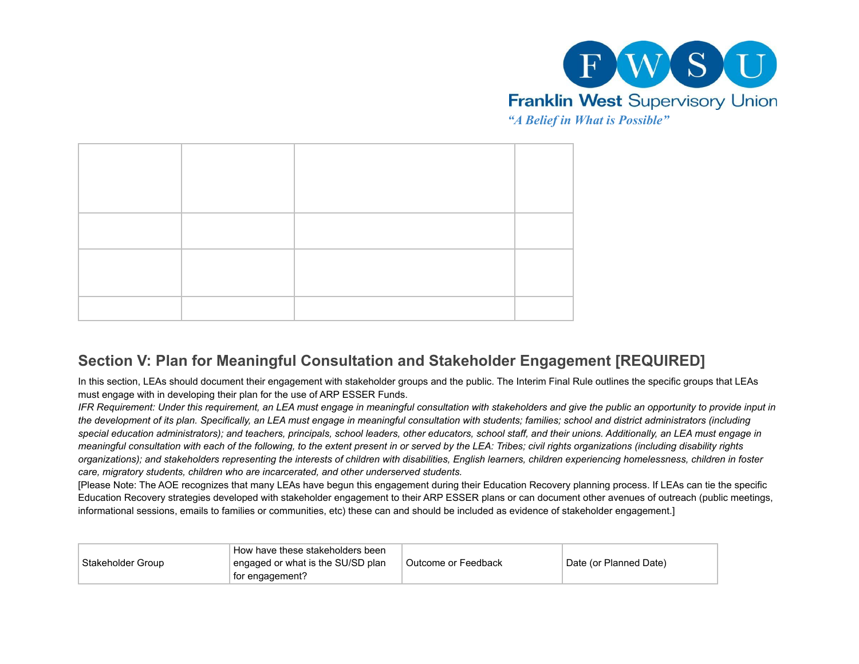

# **Section V: Plan for Meaningful Consultation and Stakeholder Engagement [REQUIRED]**

In this section, LEAs should document their engagement with stakeholder groups and the public. The Interim Final Rule outlines the specific groups that LEAs must engage with in developing their plan for the use of ARP ESSER Funds.

*IFR Requirement: Under this requirement, an LEA must engage in meaningful consultation with stakeholders and give the public an opportunity to provide input in the development of its plan. Specifically, an LEA must engage in meaningful consultation with students; families; school and district administrators (including special education administrators); and teachers, principals, school leaders, other educators, school staff, and their unions. Additionally, an LEA must engage in meaningful consultation with each of the following, to the extent present in or served by the LEA: Tribes; civil rights organizations (including disability rights organizations); and stakeholders representing the interests of children with disabilities, English learners, children experiencing homelessness, children in foster care, migratory students, children who are incarcerated, and other underserved students.*

[Please Note: The AOE recognizes that many LEAs have begun this engagement during their Education Recovery planning process. If LEAs can tie the specific Education Recovery strategies developed with stakeholder engagement to their ARP ESSER plans or can document other avenues of outreach (public meetings, informational sessions, emails to families or communities, etc) these can and should be included as evidence of stakeholder engagement.]

| Stakeholder Group | How have these stakeholders been<br>engaged or what is the SU/SD plan<br>for engagement? | Outcome or Feedback | Date (or Planned Date) |
|-------------------|------------------------------------------------------------------------------------------|---------------------|------------------------|
|                   |                                                                                          |                     |                        |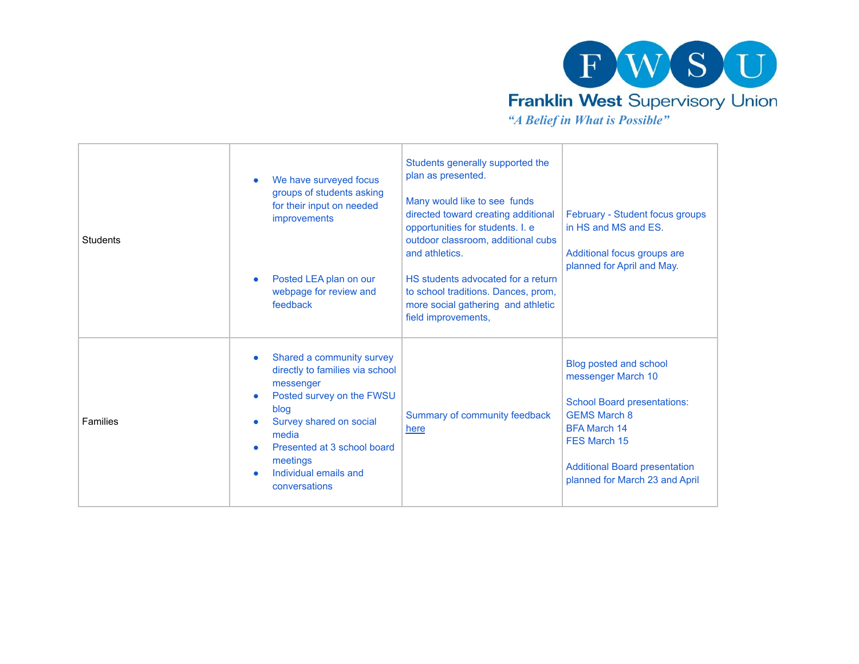

*"A Belief in What is Possible"*

| <b>Students</b> | We have surveyed focus<br>$\bullet$<br>groups of students asking<br>for their input on needed<br>improvements<br>Posted LEA plan on our<br>$\bullet$<br>webpage for review and<br>feedback                                                                                     | Students generally supported the<br>plan as presented.<br>Many would like to see funds<br>directed toward creating additional<br>opportunities for students. I. e<br>outdoor classroom, additional cubs<br>and athletics.<br>HS students advocated for a return<br>to school traditions. Dances, prom,<br>more social gathering and athletic<br>field improvements, | February - Student focus groups<br>in HS and MS and ES.<br>Additional focus groups are<br>planned for April and May.                                                                                                       |
|-----------------|--------------------------------------------------------------------------------------------------------------------------------------------------------------------------------------------------------------------------------------------------------------------------------|---------------------------------------------------------------------------------------------------------------------------------------------------------------------------------------------------------------------------------------------------------------------------------------------------------------------------------------------------------------------|----------------------------------------------------------------------------------------------------------------------------------------------------------------------------------------------------------------------------|
| Families        | Shared a community survey<br>$\bullet$<br>directly to families via school<br>messenger<br>Posted survey on the FWSU<br>$\bullet$<br>blog<br>Survey shared on social<br>$\bullet$<br>media<br>Presented at 3 school board<br>meetings<br>Individual emails and<br>conversations | Summary of community feedback<br>here                                                                                                                                                                                                                                                                                                                               | Blog posted and school<br>messenger March 10<br><b>School Board presentations:</b><br><b>GEMS March 8</b><br><b>BFA March 14</b><br>FES March 15<br><b>Additional Board presentation</b><br>planned for March 23 and April |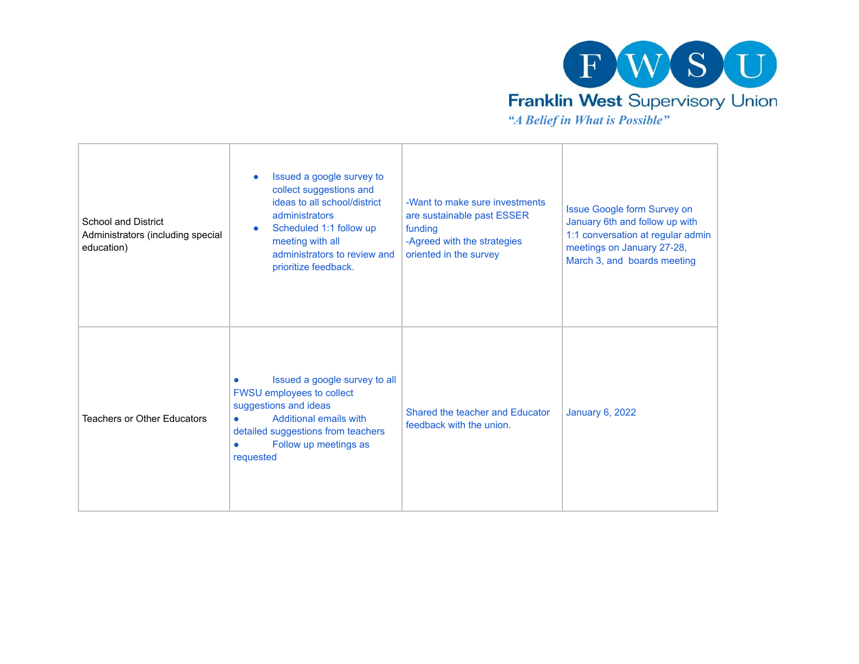

| <b>School and District</b><br>Administrators (including special<br>education) | Issued a google survey to<br>$\bullet$<br>collect suggestions and<br>ideas to all school/district<br>administrators<br>Scheduled 1:1 follow up<br>$\bullet$<br>meeting with all<br>administrators to review and<br>prioritize feedback. | -Want to make sure investments<br>are sustainable past ESSER<br>funding<br>-Agreed with the strategies<br>oriented in the survey | Issue Google form Survey on<br>January 6th and follow up with<br>1:1 conversation at regular admin<br>meetings on January 27-28,<br>March 3, and boards meeting |
|-------------------------------------------------------------------------------|-----------------------------------------------------------------------------------------------------------------------------------------------------------------------------------------------------------------------------------------|----------------------------------------------------------------------------------------------------------------------------------|-----------------------------------------------------------------------------------------------------------------------------------------------------------------|
| <b>Teachers or Other Educators</b>                                            | Issued a google survey to all<br>FWSU employees to collect<br>suggestions and ideas<br><b>Additional emails with</b><br>$\bullet$<br>detailed suggestions from teachers<br>Follow up meetings as<br>requested                           | Shared the teacher and Educator<br>feedback with the union.                                                                      | <b>January 6, 2022</b>                                                                                                                                          |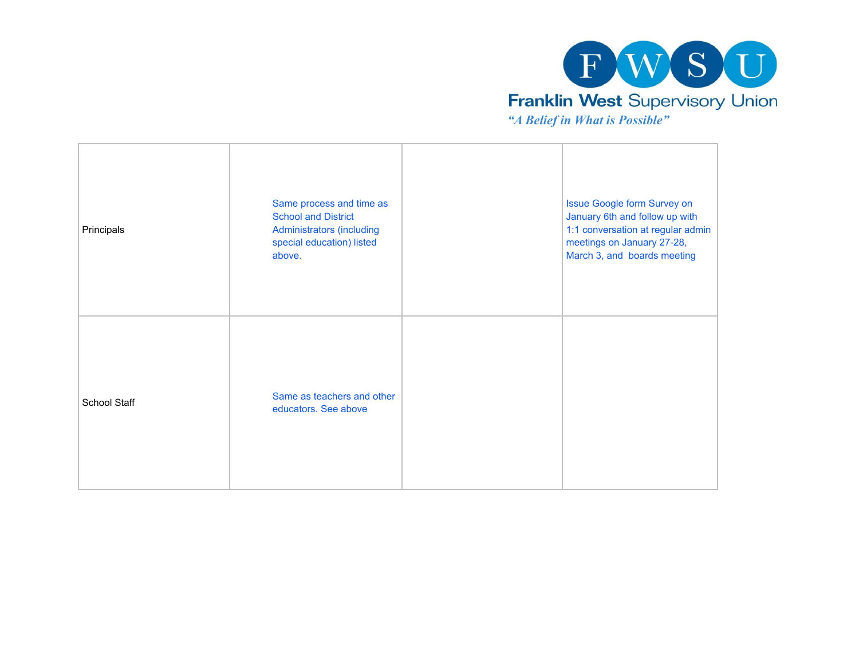

| Principals   | Same process and time as<br><b>School and District</b><br><b>Administrators (including</b><br>special education) listed<br>above. | Issue Google form Survey on<br>January 6th and follow up with<br>1:1 conversation at regular admin<br>meetings on January 27-28,<br>March 3, and boards meeting |
|--------------|-----------------------------------------------------------------------------------------------------------------------------------|-----------------------------------------------------------------------------------------------------------------------------------------------------------------|
| School Staff | Same as teachers and other<br>educators. See above                                                                                |                                                                                                                                                                 |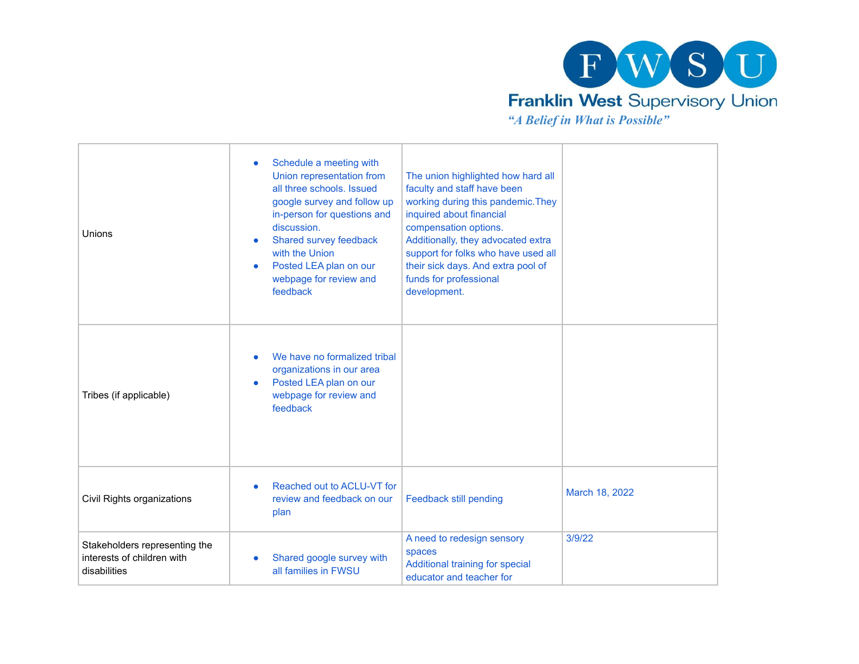

Unions • Schedule a meeting with Union representation from all three schools. Issued google survey and follow up in-person for questions and discussion. Shared survey feedback with the Union ● Posted LEA plan on our webpage for review and feedback The union highlighted how hard all faculty and staff have been working during this pandemic.They inquired about financial compensation options. Additionally, they advocated extra support for folks who have used all their sick days. And extra pool of funds for professional development. Tribes (if applicable) We have no formalized tribal organizations in our area ● Posted LEA plan on our webpage for review and feedback Civil Rights organizations ● Reached out to ACLU-VT for review and feedback on our plan Feedback still pending March 18, 2022 Stakeholders representing the interests of children with disabilities • Shared google survey with all families in FWSU A need to redesign sensory spaces Additional training for special educator and teacher for 3/9/22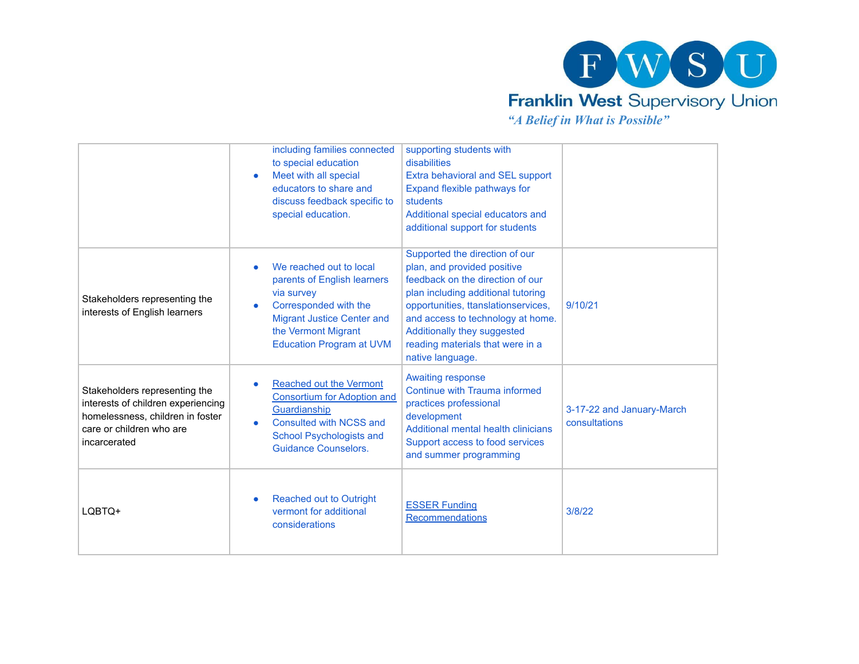

*"A Belief in What is Possible"*

|                                                                                                                                                     | including families connected<br>to special education<br>Meet with all special<br>educators to share and<br>discuss feedback specific to<br>special education.                                | supporting students with<br>disabilities<br>Extra behavioral and SEL support<br>Expand flexible pathways for<br>students<br>Additional special educators and<br>additional support for students                                                                                                            |                                            |
|-----------------------------------------------------------------------------------------------------------------------------------------------------|----------------------------------------------------------------------------------------------------------------------------------------------------------------------------------------------|------------------------------------------------------------------------------------------------------------------------------------------------------------------------------------------------------------------------------------------------------------------------------------------------------------|--------------------------------------------|
| Stakeholders representing the<br>interests of English learners                                                                                      | We reached out to local<br>parents of English learners<br>via survey<br>Corresponded with the<br><b>Migrant Justice Center and</b><br>the Vermont Migrant<br><b>Education Program at UVM</b> | Supported the direction of our<br>plan, and provided positive<br>feedback on the direction of our<br>plan including additional tutoring<br>opportunities, ttanslationservices,<br>and access to technology at home.<br>Additionally they suggested<br>reading materials that were in a<br>native language. | 9/10/21                                    |
| Stakeholders representing the<br>interests of children experiencing<br>homelessness, children in foster<br>care or children who are<br>incarcerated | <b>Reached out the Vermont</b><br><b>Consortium for Adoption and</b><br>Guardianship<br>Consulted with NCSS and<br>School Psychologists and<br><b>Guidance Counselors.</b>                   | <b>Awaiting response</b><br>Continue with Trauma informed<br>practices professional<br>development<br><b>Additional mental health clinicians</b><br>Support access to food services<br>and summer programming                                                                                              | 3-17-22 and January-March<br>consultations |
| LQBTQ+                                                                                                                                              | Reached out to Outright<br>vermont for additional<br>considerations                                                                                                                          | <b>ESSER Funding</b><br>Recommendations                                                                                                                                                                                                                                                                    | 3/8/22                                     |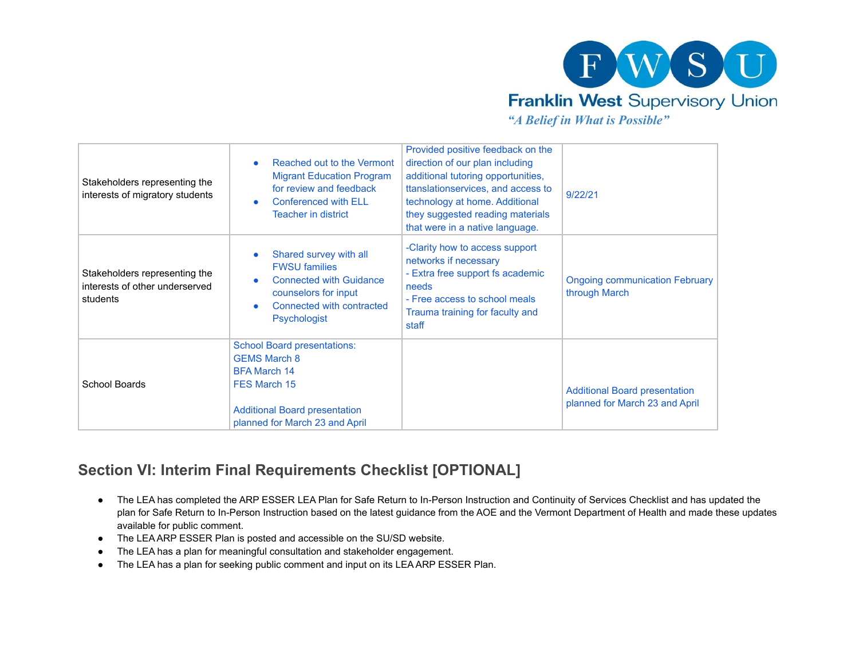

*"A Belief in What is Possible"*

| Stakeholders representing the<br>interests of migratory students            | Reached out to the Vermont<br><b>Migrant Education Program</b><br>for review and feedback<br><b>Conferenced with ELL</b><br><b>Teacher in district</b>                     | Provided positive feedback on the<br>direction of our plan including<br>additional tutoring opportunities,<br>ttanslationservices, and access to<br>technology at home. Additional<br>they suggested reading materials<br>that were in a native language. | 9/22/21                                                                |
|-----------------------------------------------------------------------------|----------------------------------------------------------------------------------------------------------------------------------------------------------------------------|-----------------------------------------------------------------------------------------------------------------------------------------------------------------------------------------------------------------------------------------------------------|------------------------------------------------------------------------|
| Stakeholders representing the<br>interests of other underserved<br>students | Shared survey with all<br><b>FWSU families</b><br><b>Connected with Guidance</b><br>counselors for input<br>Connected with contracted<br><b>Psychologist</b>               | -Clarity how to access support<br>networks if necessary<br>- Extra free support fs academic<br>needs<br>- Free access to school meals<br>Trauma training for faculty and<br>staff                                                                         | <b>Ongoing communication February</b><br>through March                 |
| School Boards                                                               | <b>School Board presentations:</b><br><b>GEMS March 8</b><br><b>BFA March 14</b><br>FES March 15<br><b>Additional Board presentation</b><br>planned for March 23 and April |                                                                                                                                                                                                                                                           | <b>Additional Board presentation</b><br>planned for March 23 and April |

# **Section VI: Interim Final Requirements Checklist [OPTIONAL]**

- The LEA has completed the ARP ESSER LEA Plan for Safe Return to In-Person Instruction and Continuity of Services Checklist and has updated the plan for Safe Return to In-Person Instruction based on the latest guidance from the AOE and the Vermont Department of Health and made these updates available for public comment.
- The LEA ARP ESSER Plan is posted and accessible on the SU/SD website.
- The LEA has a plan for meaningful consultation and stakeholder engagement.
- The LEA has a plan for seeking public comment and input on its LEA ARP ESSER Plan.